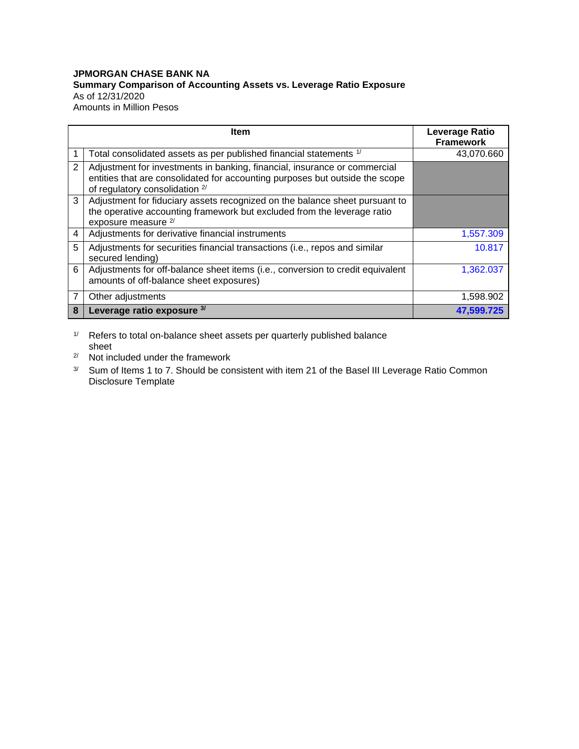## **JPMORGAN CHASE BANK NA Summary Comparison of Accounting Assets vs. Leverage Ratio Exposure** As of 12/31/2020 Amounts in Million Pesos

|   | ltem                                                                                                                                                                                        | <b>Leverage Ratio</b><br><b>Framework</b> |
|---|---------------------------------------------------------------------------------------------------------------------------------------------------------------------------------------------|-------------------------------------------|
|   | Total consolidated assets as per published financial statements 1/                                                                                                                          | 43,070.660                                |
| 2 | Adjustment for investments in banking, financial, insurance or commercial<br>entities that are consolidated for accounting purposes but outside the scope<br>of regulatory consolidation 2/ |                                           |
| 3 | Adjustment for fiduciary assets recognized on the balance sheet pursuant to<br>the operative accounting framework but excluded from the leverage ratio<br>exposure measure <sup>2/</sup>    |                                           |
| 4 | Adjustments for derivative financial instruments                                                                                                                                            | 1,557.309                                 |
| 5 | Adjustments for securities financial transactions (i.e., repos and similar<br>secured lending)                                                                                              | 10.817                                    |
| 6 | Adjustments for off-balance sheet items (i.e., conversion to credit equivalent<br>amounts of off-balance sheet exposures)                                                                   | 1,362.037                                 |
| 7 | Other adjustments                                                                                                                                                                           | 1,598.902                                 |
| 8 | Leverage ratio exposure 3/                                                                                                                                                                  | 47.599.725                                |

1/ Refers to total on-balance sheet assets per quarterly published balance sheet

2/ Not included under the framework

<sup>3/</sup> Sum of Items 1 to 7. Should be consistent with item 21 of the Basel III Leverage Ratio Common Disclosure Template